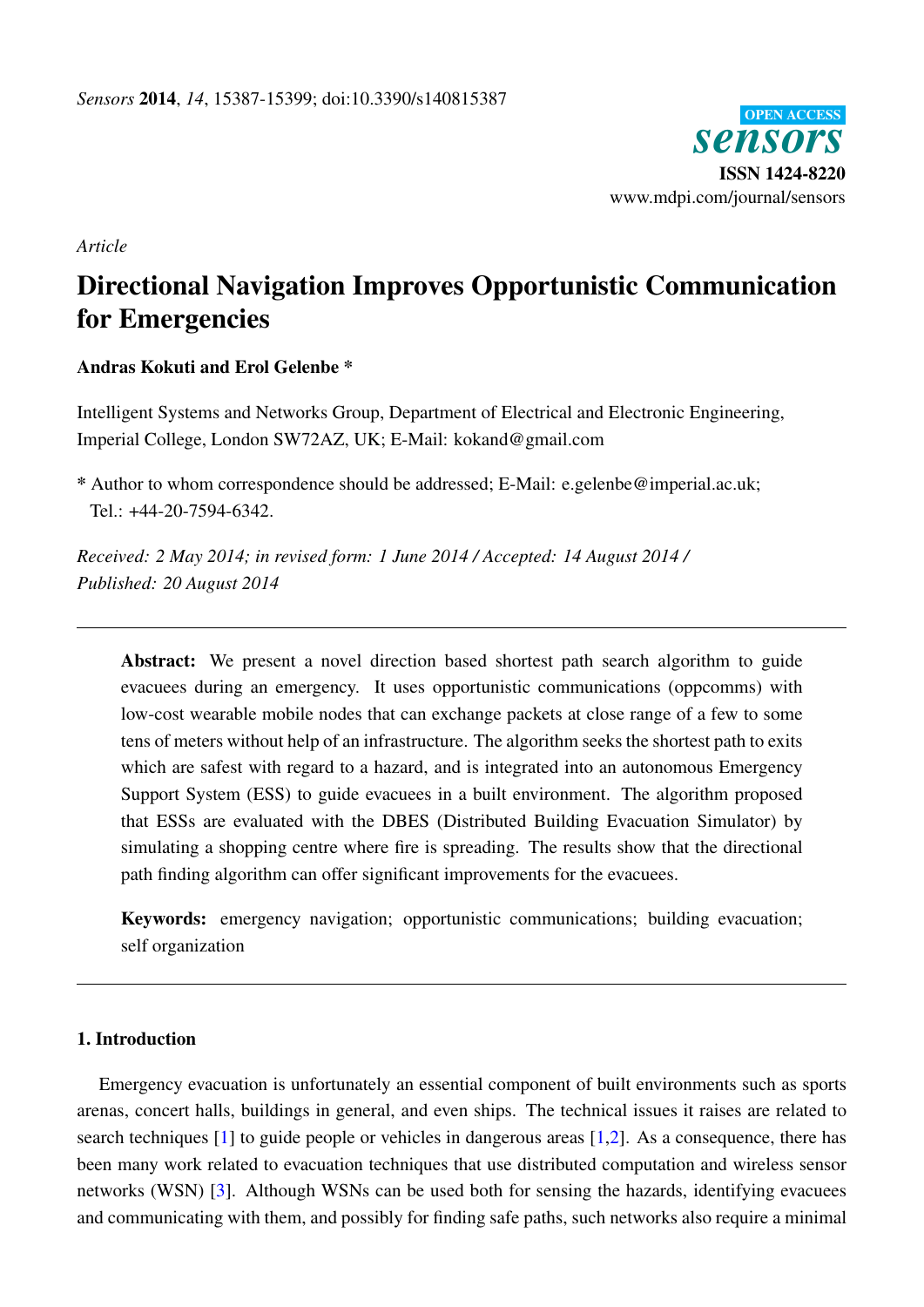

*Article*

# Directional Navigation Improves Opportunistic Communication for Emergencies

# Andras Kokuti and Erol Gelenbe \*

Intelligent Systems and Networks Group, Department of Electrical and Electronic Engineering, Imperial College, London SW72AZ, UK; E-Mail: kokand@gmail.com

\* Author to whom correspondence should be addressed; E-Mail: e.gelenbe@imperial.ac.uk; Tel.: +44-20-7594-6342.

*Received: 2 May 2014; in revised form: 1 June 2014 / Accepted: 14 August 2014 / Published: 20 August 2014*

Abstract: We present a novel direction based shortest path search algorithm to guide evacuees during an emergency. It uses opportunistic communications (oppcomms) with low-cost wearable mobile nodes that can exchange packets at close range of a few to some tens of meters without help of an infrastructure. The algorithm seeks the shortest path to exits which are safest with regard to a hazard, and is integrated into an autonomous Emergency Support System (ESS) to guide evacuees in a built environment. The algorithm proposed that ESSs are evaluated with the DBES (Distributed Building Evacuation Simulator) by simulating a shopping centre where fire is spreading. The results show that the directional path finding algorithm can offer significant improvements for the evacuees.

Keywords: emergency navigation; opportunistic communications; building evacuation; self organization

# 1. Introduction

Emergency evacuation is unfortunately an essential component of built environments such as sports arenas, concert halls, buildings in general, and even ships. The technical issues it raises are related to search techniques [\[1\]](#page-11-0) to guide people or vehicles in dangerous areas [\[1](#page-11-0)[,2\]](#page-11-1). As a consequence, there has been many work related to evacuation techniques that use distributed computation and wireless sensor networks (WSN) [\[3\]](#page-11-2). Although WSNs can be used both for sensing the hazards, identifying evacuees and communicating with them, and possibly for finding safe paths, such networks also require a minimal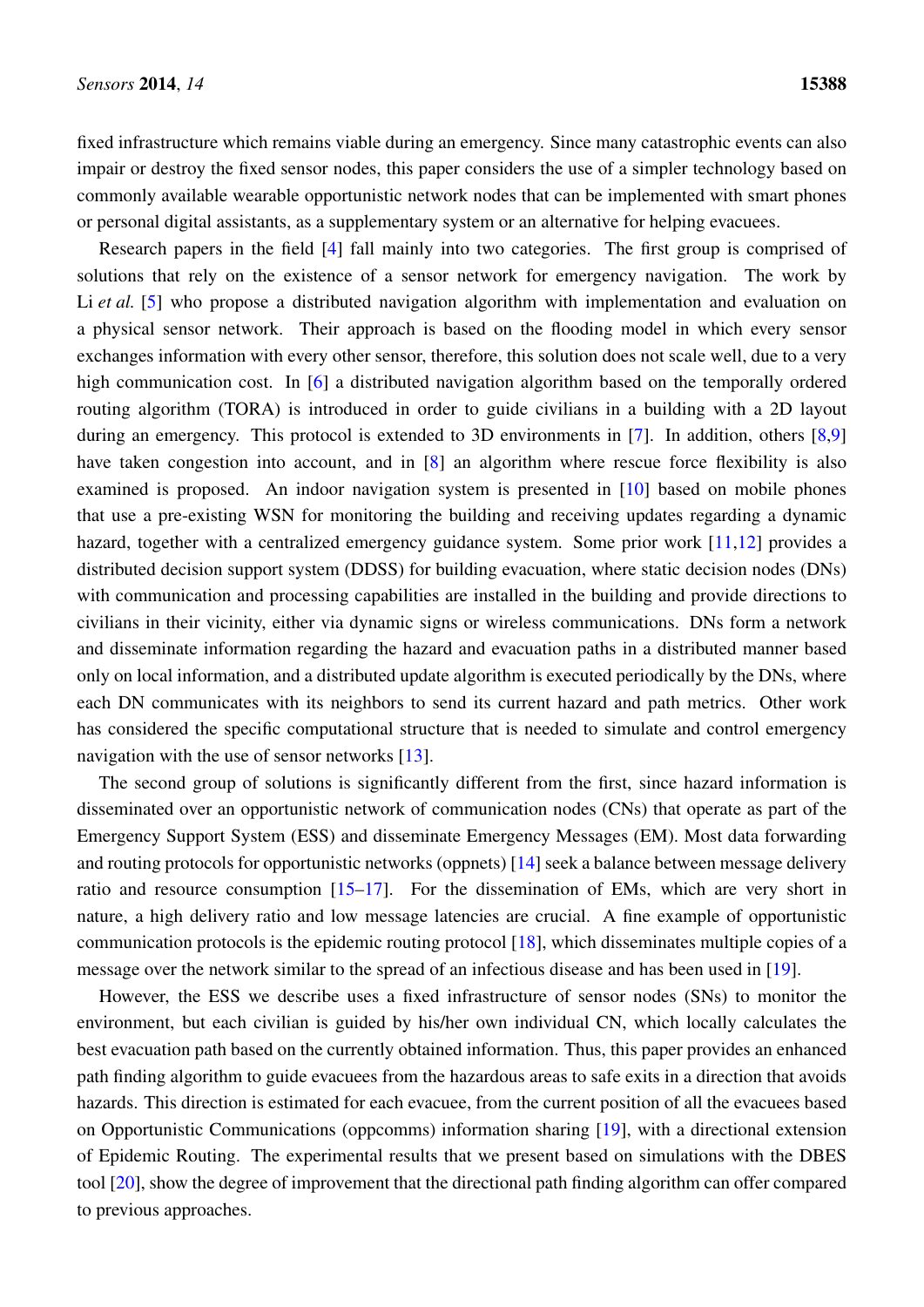fixed infrastructure which remains viable during an emergency. Since many catastrophic events can also impair or destroy the fixed sensor nodes, this paper considers the use of a simpler technology based on commonly available wearable opportunistic network nodes that can be implemented with smart phones or personal digital assistants, as a supplementary system or an alternative for helping evacuees.

Research papers in the field [\[4\]](#page-11-3) fall mainly into two categories. The first group is comprised of solutions that rely on the existence of a sensor network for emergency navigation. The work by Li *et al.* [\[5\]](#page-11-4) who propose a distributed navigation algorithm with implementation and evaluation on a physical sensor network. Their approach is based on the flooding model in which every sensor exchanges information with every other sensor, therefore, this solution does not scale well, due to a very high communication cost. In [\[6\]](#page-11-5) a distributed navigation algorithm based on the temporally ordered routing algorithm (TORA) is introduced in order to guide civilians in a building with a 2D layout during an emergency. This protocol is extended to 3D environments in [\[7\]](#page-11-6). In addition, others [\[8,](#page-11-7)[9\]](#page-11-8) have taken congestion into account, and in [\[8\]](#page-11-7) an algorithm where rescue force flexibility is also examined is proposed. An indoor navigation system is presented in [\[10\]](#page-11-9) based on mobile phones that use a pre-existing WSN for monitoring the building and receiving updates regarding a dynamic hazard, together with a centralized emergency guidance system. Some prior work [\[11](#page-11-10)[,12\]](#page-11-11) provides a distributed decision support system (DDSS) for building evacuation, where static decision nodes (DNs) with communication and processing capabilities are installed in the building and provide directions to civilians in their vicinity, either via dynamic signs or wireless communications. DNs form a network and disseminate information regarding the hazard and evacuation paths in a distributed manner based only on local information, and a distributed update algorithm is executed periodically by the DNs, where each DN communicates with its neighbors to send its current hazard and path metrics. Other work has considered the specific computational structure that is needed to simulate and control emergency navigation with the use of sensor networks [\[13\]](#page-11-12).

The second group of solutions is significantly different from the first, since hazard information is disseminated over an opportunistic network of communication nodes (CNs) that operate as part of the Emergency Support System (ESS) and disseminate Emergency Messages (EM). Most data forwarding and routing protocols for opportunistic networks (oppnets) [\[14\]](#page-11-13) seek a balance between message delivery ratio and resource consumption [\[15–](#page-11-14)[17\]](#page-12-0). For the dissemination of EMs, which are very short in nature, a high delivery ratio and low message latencies are crucial. A fine example of opportunistic communication protocols is the epidemic routing protocol [\[18\]](#page-12-1), which disseminates multiple copies of a message over the network similar to the spread of an infectious disease and has been used in [\[19\]](#page-12-2).

However, the ESS we describe uses a fixed infrastructure of sensor nodes (SNs) to monitor the environment, but each civilian is guided by his/her own individual CN, which locally calculates the best evacuation path based on the currently obtained information. Thus, this paper provides an enhanced path finding algorithm to guide evacuees from the hazardous areas to safe exits in a direction that avoids hazards. This direction is estimated for each evacuee, from the current position of all the evacuees based on Opportunistic Communications (oppcomms) information sharing [\[19\]](#page-12-2), with a directional extension of Epidemic Routing. The experimental results that we present based on simulations with the DBES tool [\[20\]](#page-12-3), show the degree of improvement that the directional path finding algorithm can offer compared to previous approaches.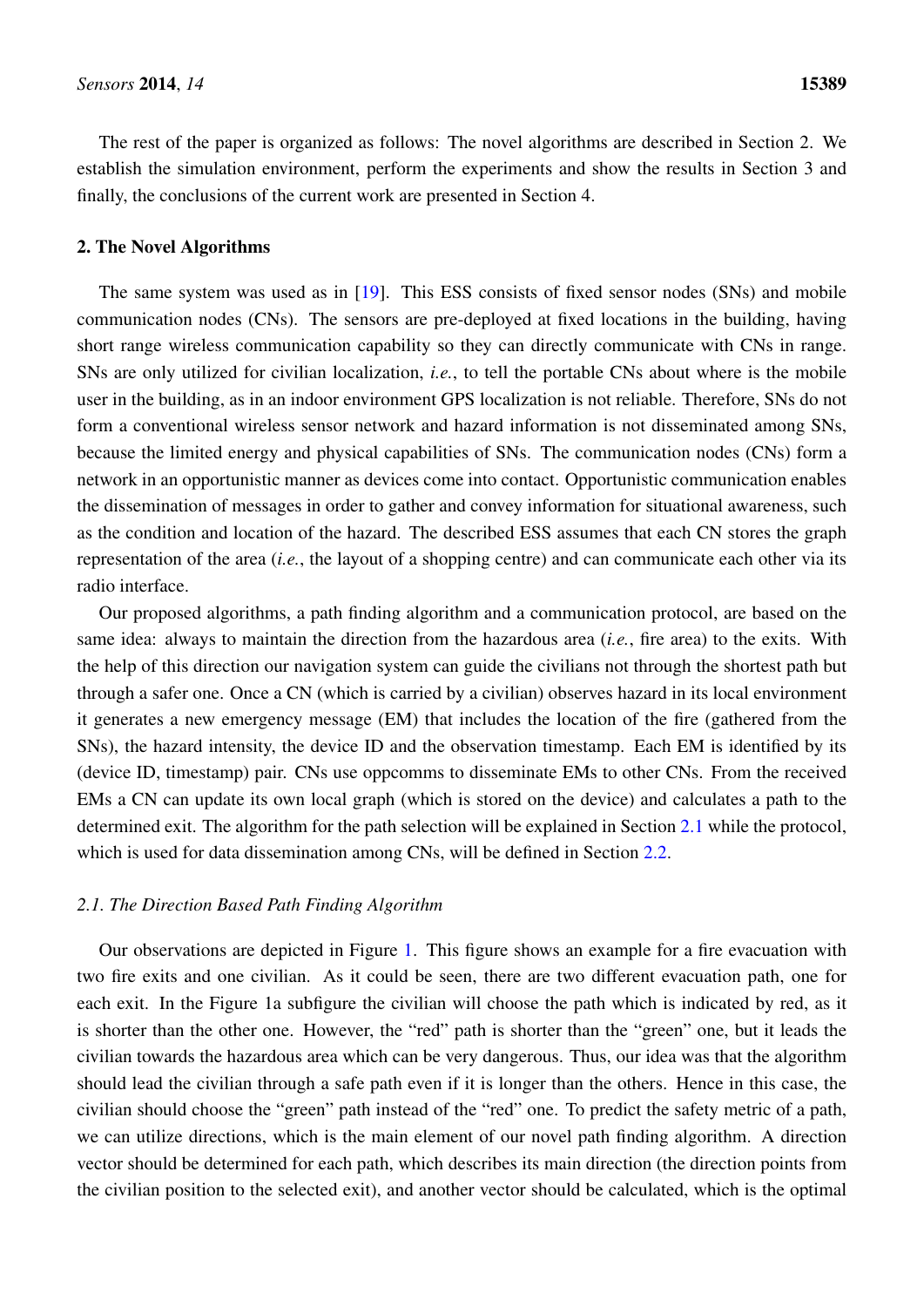The rest of the paper is organized as follows: The novel algorithms are described in Section 2. We establish the simulation environment, perform the experiments and show the results in Section 3 and finally, the conclusions of the current work are presented in Section 4.

### 2. The Novel Algorithms

The same system was used as in [\[19\]](#page-12-2). This ESS consists of fixed sensor nodes (SNs) and mobile communication nodes (CNs). The sensors are pre-deployed at fixed locations in the building, having short range wireless communication capability so they can directly communicate with CNs in range. SNs are only utilized for civilian localization, *i.e.*, to tell the portable CNs about where is the mobile user in the building, as in an indoor environment GPS localization is not reliable. Therefore, SNs do not form a conventional wireless sensor network and hazard information is not disseminated among SNs, because the limited energy and physical capabilities of SNs. The communication nodes (CNs) form a network in an opportunistic manner as devices come into contact. Opportunistic communication enables the dissemination of messages in order to gather and convey information for situational awareness, such as the condition and location of the hazard. The described ESS assumes that each CN stores the graph representation of the area (*i.e.*, the layout of a shopping centre) and can communicate each other via its radio interface.

Our proposed algorithms, a path finding algorithm and a communication protocol, are based on the same idea: always to maintain the direction from the hazardous area (*i.e.*, fire area) to the exits. With the help of this direction our navigation system can guide the civilians not through the shortest path but through a safer one. Once a CN (which is carried by a civilian) observes hazard in its local environment it generates a new emergency message (EM) that includes the location of the fire (gathered from the SNs), the hazard intensity, the device ID and the observation timestamp. Each EM is identified by its (device ID, timestamp) pair. CNs use oppcomms to disseminate EMs to other CNs. From the received EMs a CN can update its own local graph (which is stored on the device) and calculates a path to the determined exit. The algorithm for the path selection will be explained in Section [2.1](#page-2-0) while the protocol, which is used for data dissemination among CNs, will be defined in Section [2.2.](#page-5-0)

#### <span id="page-2-0"></span>*2.1. The Direction Based Path Finding Algorithm*

Our observations are depicted in Figure [1.](#page-3-0) This figure shows an example for a fire evacuation with two fire exits and one civilian. As it could be seen, there are two different evacuation path, one for each exit. In the Figure 1a subfigure the civilian will choose the path which is indicated by red, as it is shorter than the other one. However, the "red" path is shorter than the "green" one, but it leads the civilian towards the hazardous area which can be very dangerous. Thus, our idea was that the algorithm should lead the civilian through a safe path even if it is longer than the others. Hence in this case, the civilian should choose the "green" path instead of the "red" one. To predict the safety metric of a path, we can utilize directions, which is the main element of our novel path finding algorithm. A direction vector should be determined for each path, which describes its main direction (the direction points from the civilian position to the selected exit), and another vector should be calculated, which is the optimal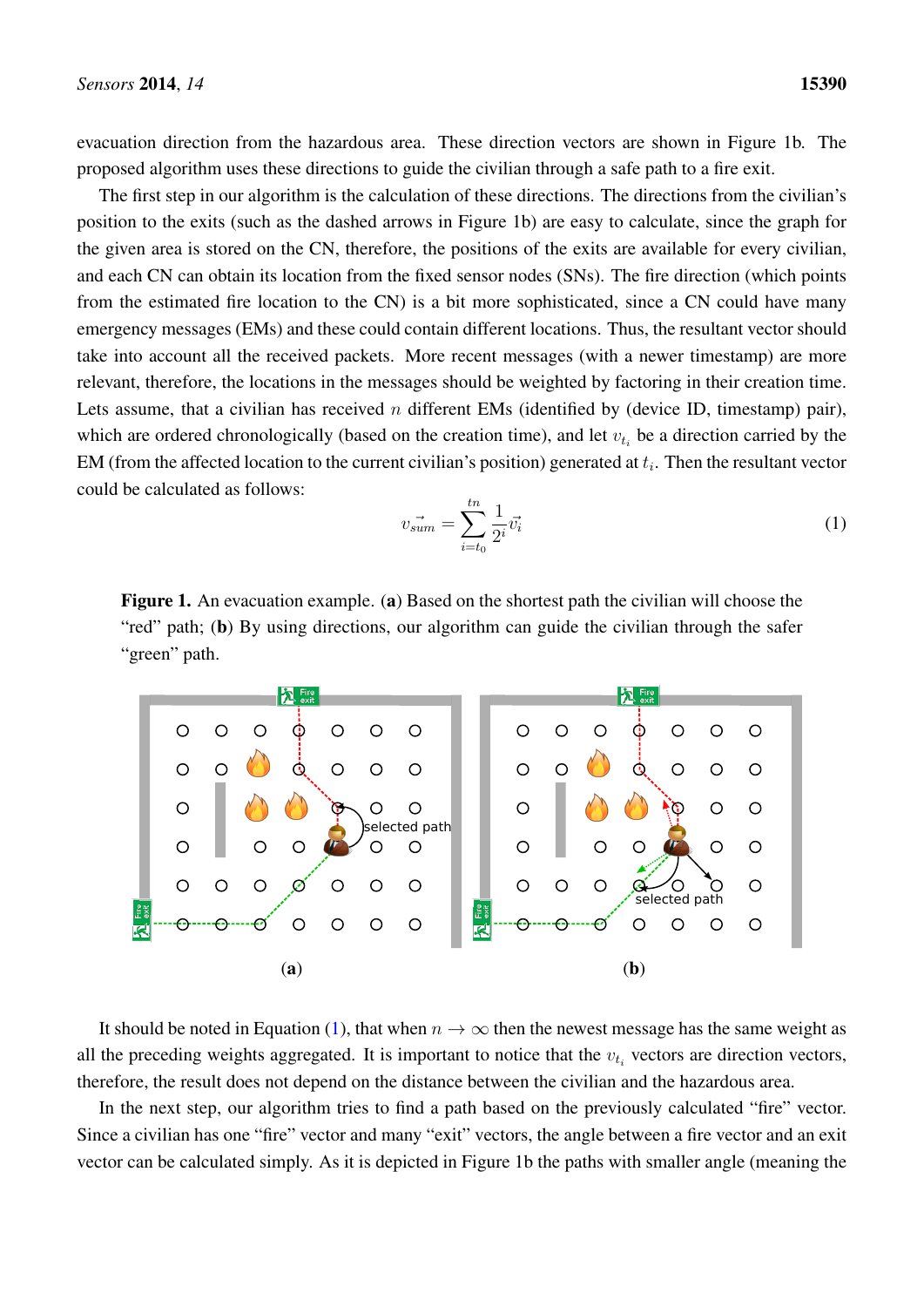evacuation direction from the hazardous area. These direction vectors are shown in Figure 1b. The proposed algorithm uses these directions to guide the civilian through a safe path to a fire exit.

The first step in our algorithm is the calculation of these directions. The directions from the civilian's position to the exits (such as the dashed arrows in Figure 1b) are easy to calculate, since the graph for the given area is stored on the CN, therefore, the positions of the exits are available for every civilian, and each CN can obtain its location from the fixed sensor nodes (SNs). The fire direction (which points from the estimated fire location to the CN) is a bit more sophisticated, since a CN could have many emergency messages (EMs) and these could contain different locations. Thus, the resultant vector should take into account all the received packets. More recent messages (with a newer timestamp) are more relevant, therefore, the locations in the messages should be weighted by factoring in their creation time. Lets assume, that a civilian has received n different EMs (identified by (device ID, timestamp) pair), which are ordered chronologically (based on the creation time), and let  $v_{t_i}$  be a direction carried by the EM (from the affected location to the current civilian's position) generated at  $t_i$ . Then the resultant vector could be calculated as follows:

<span id="page-3-1"></span>
$$
\vec{v_{sum}} = \sum_{i=t_0}^{tn} \frac{1}{2^i} \vec{v_i} \tag{1}
$$

<span id="page-3-0"></span>Figure 1. An evacuation example. (a) Based on the shortest path the civilian will choose the "red" path; (b) By using directions, our algorithm can guide the civilian through the safer "green" path.



It should be noted in Equation [\(1\)](#page-3-1), that when  $n \to \infty$  then the newest message has the same weight as all the preceding weights aggregated. It is important to notice that the  $v_{t_i}$  vectors are direction vectors, therefore, the result does not depend on the distance between the civilian and the hazardous area.

In the next step, our algorithm tries to find a path based on the previously calculated "fire" vector. Since a civilian has one "fire" vector and many "exit" vectors, the angle between a fire vector and an exit vector can be calculated simply. As it is depicted in Figure 1b the paths with smaller angle (meaning the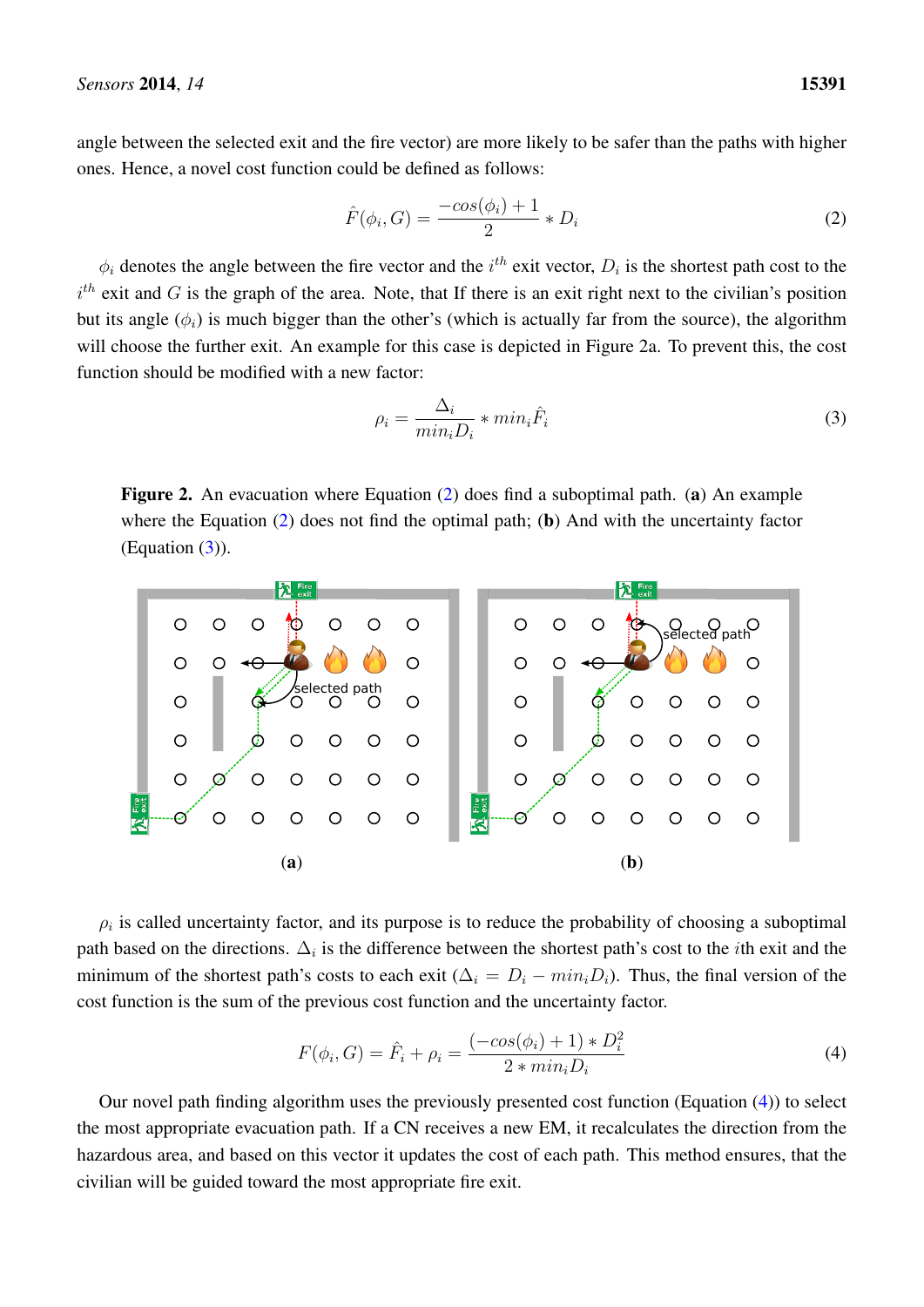angle between the selected exit and the fire vector) are more likely to be safer than the paths with higher ones. Hence, a novel cost function could be defined as follows:

<span id="page-4-0"></span>
$$
\hat{F}(\phi_i, G) = \frac{-\cos(\phi_i) + 1}{2} * D_i \tag{2}
$$

 $\phi_i$  denotes the angle between the fire vector and the  $i^{th}$  exit vector,  $D_i$  is the shortest path cost to the  $i<sup>th</sup>$  exit and G is the graph of the area. Note, that If there is an exit right next to the civilian's position but its angle  $(\phi_i)$  is much bigger than the other's (which is actually far from the source), the algorithm will choose the further exit. An example for this case is depicted in Figure 2a. To prevent this, the cost function should be modified with a new factor:

<span id="page-4-1"></span>
$$
\rho_i = \frac{\Delta_i}{\min_i D_i} * \min_i \hat{F}_i \tag{3}
$$

Figure 2. An evacuation where Equation [\(2\)](#page-4-0) does find a suboptimal path. (a) An example where the Equation [\(2\)](#page-4-0) does not find the optimal path; (b) And with the uncertainty factor (Equation [\(3\)](#page-4-1)).



 $\rho_i$  is called uncertainty factor, and its purpose is to reduce the probability of choosing a suboptimal path based on the directions.  $\Delta_i$  is the difference between the shortest path's cost to the *i*th exit and the minimum of the shortest path's costs to each exit ( $\Delta_i = D_i - min_i D_i$ ). Thus, the final version of the cost function is the sum of the previous cost function and the uncertainty factor.

<span id="page-4-2"></span>
$$
F(\phi_i, G) = \hat{F}_i + \rho_i = \frac{(-\cos(\phi_i) + 1) * D_i^2}{2 * \min_i D_i}
$$
(4)

Our novel path finding algorithm uses the previously presented cost function (Equation [\(4\)](#page-4-2)) to select the most appropriate evacuation path. If a CN receives a new EM, it recalculates the direction from the hazardous area, and based on this vector it updates the cost of each path. This method ensures, that the civilian will be guided toward the most appropriate fire exit.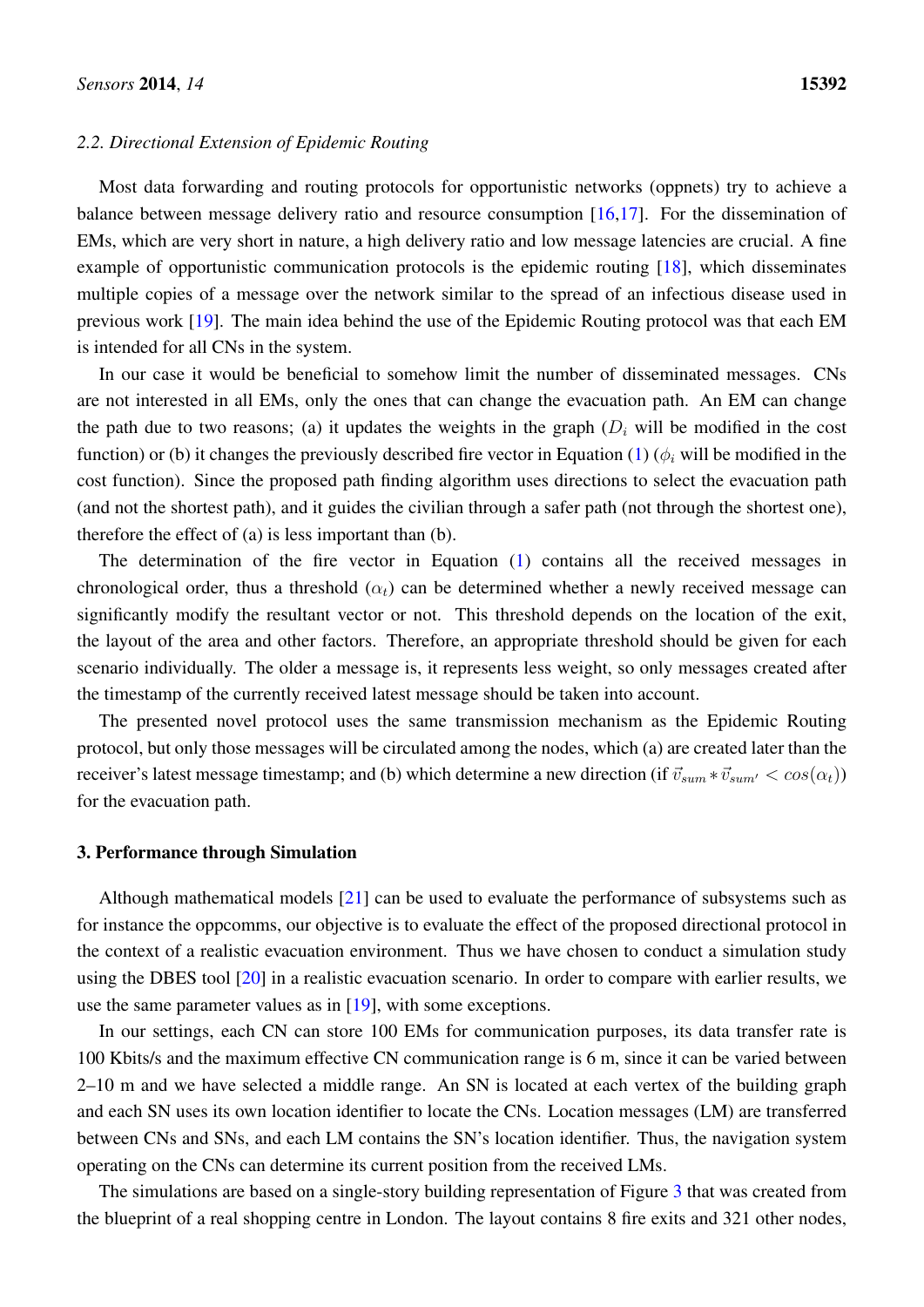#### <span id="page-5-0"></span>*2.2. Directional Extension of Epidemic Routing*

Most data forwarding and routing protocols for opportunistic networks (oppnets) try to achieve a balance between message delivery ratio and resource consumption [\[16](#page-11-15)[,17\]](#page-12-0). For the dissemination of EMs, which are very short in nature, a high delivery ratio and low message latencies are crucial. A fine example of opportunistic communication protocols is the epidemic routing [\[18\]](#page-12-1), which disseminates multiple copies of a message over the network similar to the spread of an infectious disease used in previous work [\[19\]](#page-12-2). The main idea behind the use of the Epidemic Routing protocol was that each EM is intended for all CNs in the system.

In our case it would be beneficial to somehow limit the number of disseminated messages. CNs are not interested in all EMs, only the ones that can change the evacuation path. An EM can change the path due to two reasons; (a) it updates the weights in the graph  $(D<sub>i</sub>$  will be modified in the cost function) or (b) it changes the previously described fire vector in Equation [\(1\)](#page-3-1) ( $\phi_i$  will be modified in the cost function). Since the proposed path finding algorithm uses directions to select the evacuation path (and not the shortest path), and it guides the civilian through a safer path (not through the shortest one), therefore the effect of (a) is less important than (b).

The determination of the fire vector in Equation [\(1\)](#page-3-1) contains all the received messages in chronological order, thus a threshold  $(\alpha_t)$  can be determined whether a newly received message can significantly modify the resultant vector or not. This threshold depends on the location of the exit, the layout of the area and other factors. Therefore, an appropriate threshold should be given for each scenario individually. The older a message is, it represents less weight, so only messages created after the timestamp of the currently received latest message should be taken into account.

The presented novel protocol uses the same transmission mechanism as the Epidemic Routing protocol, but only those messages will be circulated among the nodes, which (a) are created later than the receiver's latest message timestamp; and (b) which determine a new direction (if  $\vec{v}_{sum} * \vec{v}_{sum'} < cos(\alpha_t)$ ) for the evacuation path.

#### 3. Performance through Simulation

Although mathematical models [\[21\]](#page-12-4) can be used to evaluate the performance of subsystems such as for instance the oppcomms, our objective is to evaluate the effect of the proposed directional protocol in the context of a realistic evacuation environment. Thus we have chosen to conduct a simulation study using the DBES tool [\[20\]](#page-12-3) in a realistic evacuation scenario. In order to compare with earlier results, we use the same parameter values as in [\[19\]](#page-12-2), with some exceptions.

In our settings, each CN can store 100 EMs for communication purposes, its data transfer rate is 100 Kbits/s and the maximum effective CN communication range is 6 m, since it can be varied between 2–10 m and we have selected a middle range. An SN is located at each vertex of the building graph and each SN uses its own location identifier to locate the CNs. Location messages (LM) are transferred between CNs and SNs, and each LM contains the SN's location identifier. Thus, the navigation system operating on the CNs can determine its current position from the received LMs.

The simulations are based on a single-story building representation of Figure [3](#page-6-0) that was created from the blueprint of a real shopping centre in London. The layout contains 8 fire exits and 321 other nodes,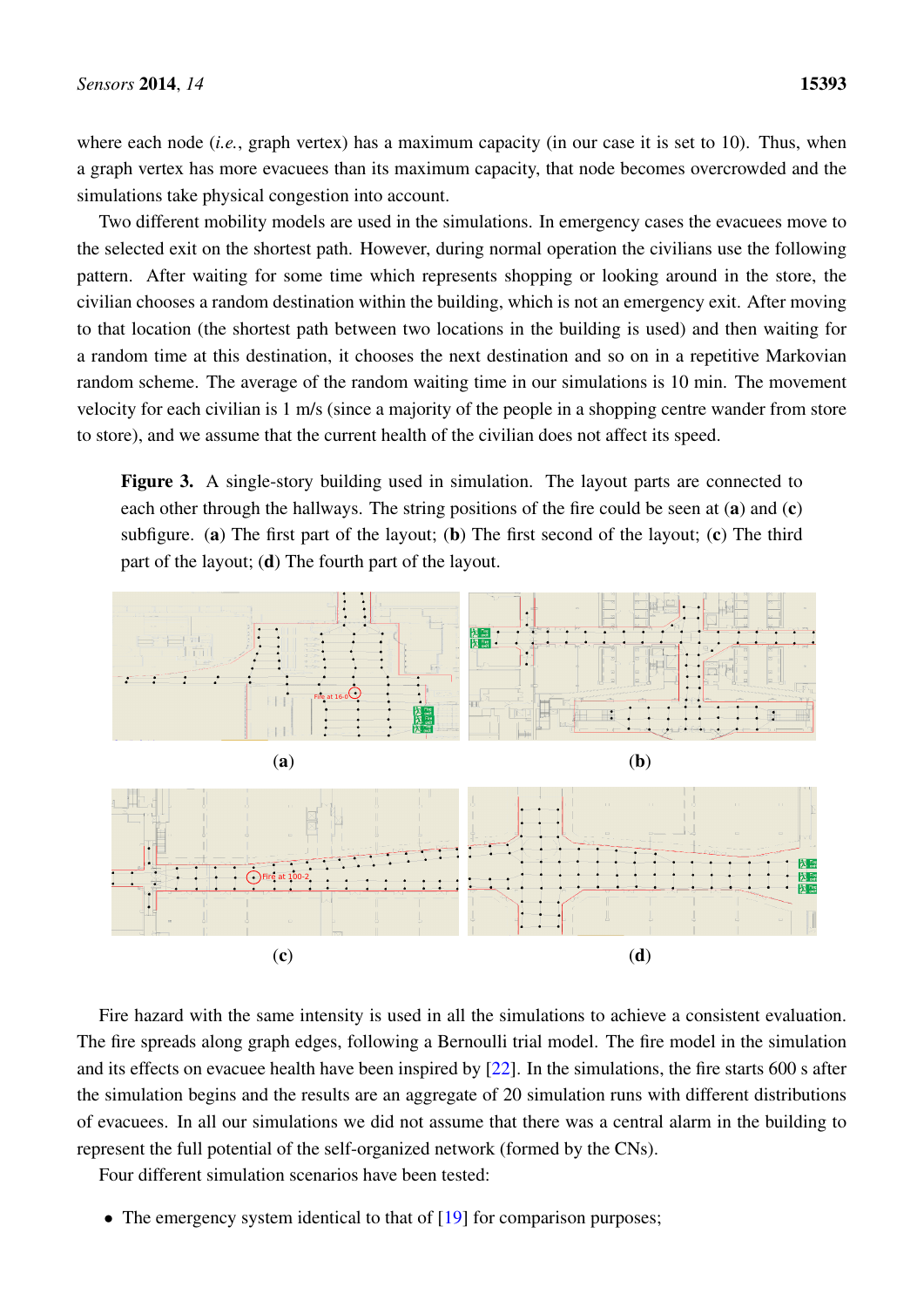where each node (*i.e.*, graph vertex) has a maximum capacity (in our case it is set to 10). Thus, when a graph vertex has more evacuees than its maximum capacity, that node becomes overcrowded and the simulations take physical congestion into account.

Two different mobility models are used in the simulations. In emergency cases the evacuees move to the selected exit on the shortest path. However, during normal operation the civilians use the following pattern. After waiting for some time which represents shopping or looking around in the store, the civilian chooses a random destination within the building, which is not an emergency exit. After moving to that location (the shortest path between two locations in the building is used) and then waiting for a random time at this destination, it chooses the next destination and so on in a repetitive Markovian random scheme. The average of the random waiting time in our simulations is 10 min. The movement velocity for each civilian is 1 m/s (since a majority of the people in a shopping centre wander from store to store), and we assume that the current health of the civilian does not affect its speed.

<span id="page-6-0"></span>Figure 3. A single-story building used in simulation. The layout parts are connected to each other through the hallways. The string positions of the fire could be seen at (a) and (c) subfigure. (a) The first part of the layout; (b) The first second of the layout; (c) The third part of the layout; (d) The fourth part of the layout.



Fire hazard with the same intensity is used in all the simulations to achieve a consistent evaluation. The fire spreads along graph edges, following a Bernoulli trial model. The fire model in the simulation and its effects on evacuee health have been inspired by [\[22\]](#page-12-5). In the simulations, the fire starts 600 s after the simulation begins and the results are an aggregate of 20 simulation runs with different distributions of evacuees. In all our simulations we did not assume that there was a central alarm in the building to represent the full potential of the self-organized network (formed by the CNs).

Four different simulation scenarios have been tested:

• The emergency system identical to that of [\[19\]](#page-12-2) for comparison purposes;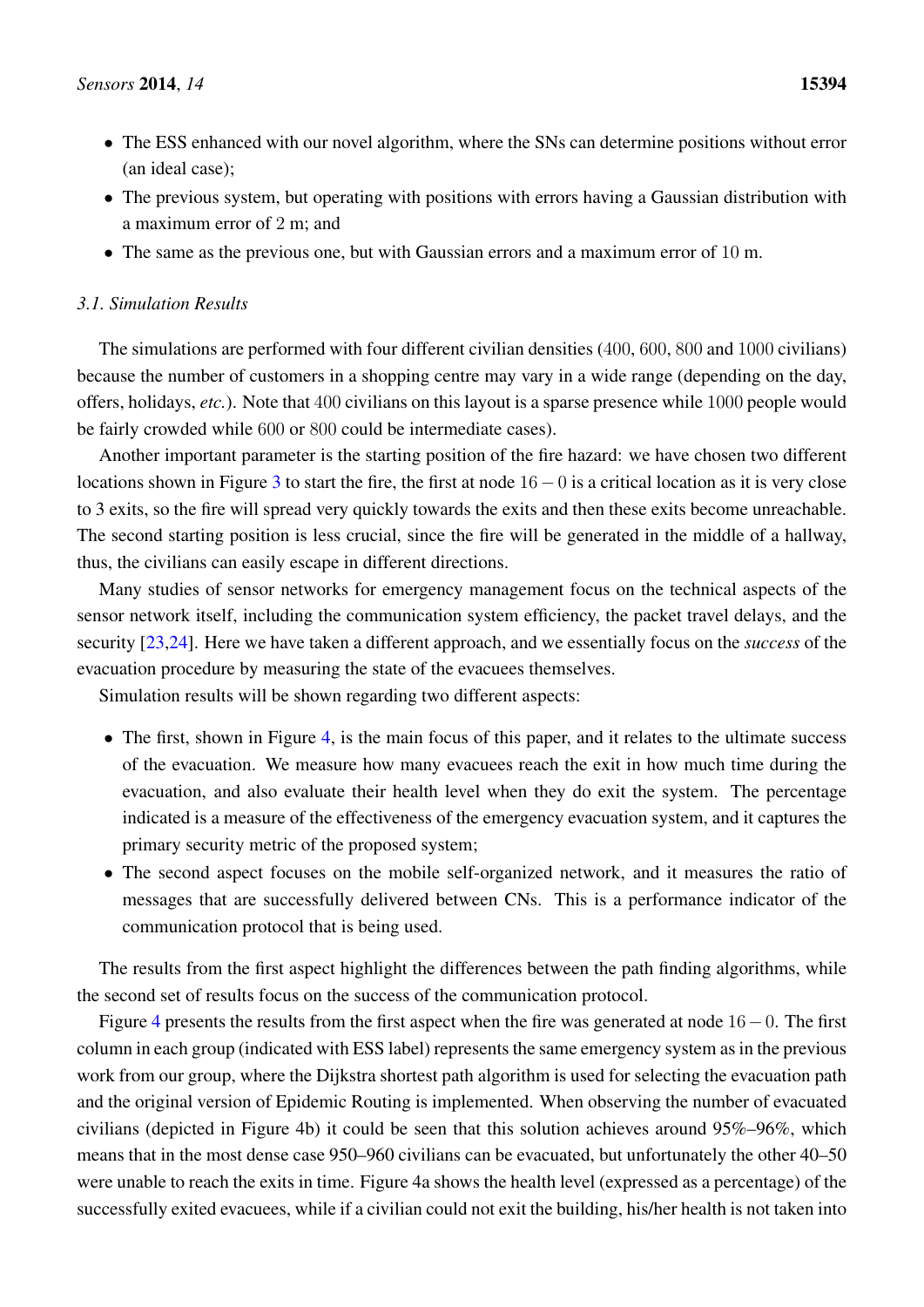- The ESS enhanced with our novel algorithm, where the SNs can determine positions without error (an ideal case);
- The previous system, but operating with positions with errors having a Gaussian distribution with a maximum error of 2 m; and
- The same as the previous one, but with Gaussian errors and a maximum error of 10 m.

## *3.1. Simulation Results*

The simulations are performed with four different civilian densities (400, 600, 800 and 1000 civilians) because the number of customers in a shopping centre may vary in a wide range (depending on the day, offers, holidays, *etc.*). Note that 400 civilians on this layout is a sparse presence while 1000 people would be fairly crowded while 600 or 800 could be intermediate cases).

Another important parameter is the starting position of the fire hazard: we have chosen two different locations shown in Figure [3](#page-6-0) to start the fire, the first at node  $16 - 0$  is a critical location as it is very close to 3 exits, so the fire will spread very quickly towards the exits and then these exits become unreachable. The second starting position is less crucial, since the fire will be generated in the middle of a hallway, thus, the civilians can easily escape in different directions.

Many studies of sensor networks for emergency management focus on the technical aspects of the sensor network itself, including the communication system efficiency, the packet travel delays, and the security [\[23](#page-12-6)[,24\]](#page-12-7). Here we have taken a different approach, and we essentially focus on the *success* of the evacuation procedure by measuring the state of the evacuees themselves.

Simulation results will be shown regarding two different aspects:

- The first, shown in Figure [4,](#page-8-0) is the main focus of this paper, and it relates to the ultimate success of the evacuation. We measure how many evacuees reach the exit in how much time during the evacuation, and also evaluate their health level when they do exit the system. The percentage indicated is a measure of the effectiveness of the emergency evacuation system, and it captures the primary security metric of the proposed system;
- The second aspect focuses on the mobile self-organized network, and it measures the ratio of messages that are successfully delivered between CNs. This is a performance indicator of the communication protocol that is being used.

The results from the first aspect highlight the differences between the path finding algorithms, while the second set of results focus on the success of the communication protocol.

Figure [4](#page-8-0) presents the results from the first aspect when the fire was generated at node  $16-0$ . The first column in each group (indicated with ESS label) represents the same emergency system as in the previous work from our group, where the Dijkstra shortest path algorithm is used for selecting the evacuation path and the original version of Epidemic Routing is implemented. When observing the number of evacuated civilians (depicted in Figure 4b) it could be seen that this solution achieves around 95%–96%, which means that in the most dense case 950–960 civilians can be evacuated, but unfortunately the other 40–50 were unable to reach the exits in time. Figure 4a shows the health level (expressed as a percentage) of the successfully exited evacuees, while if a civilian could not exit the building, his/her health is not taken into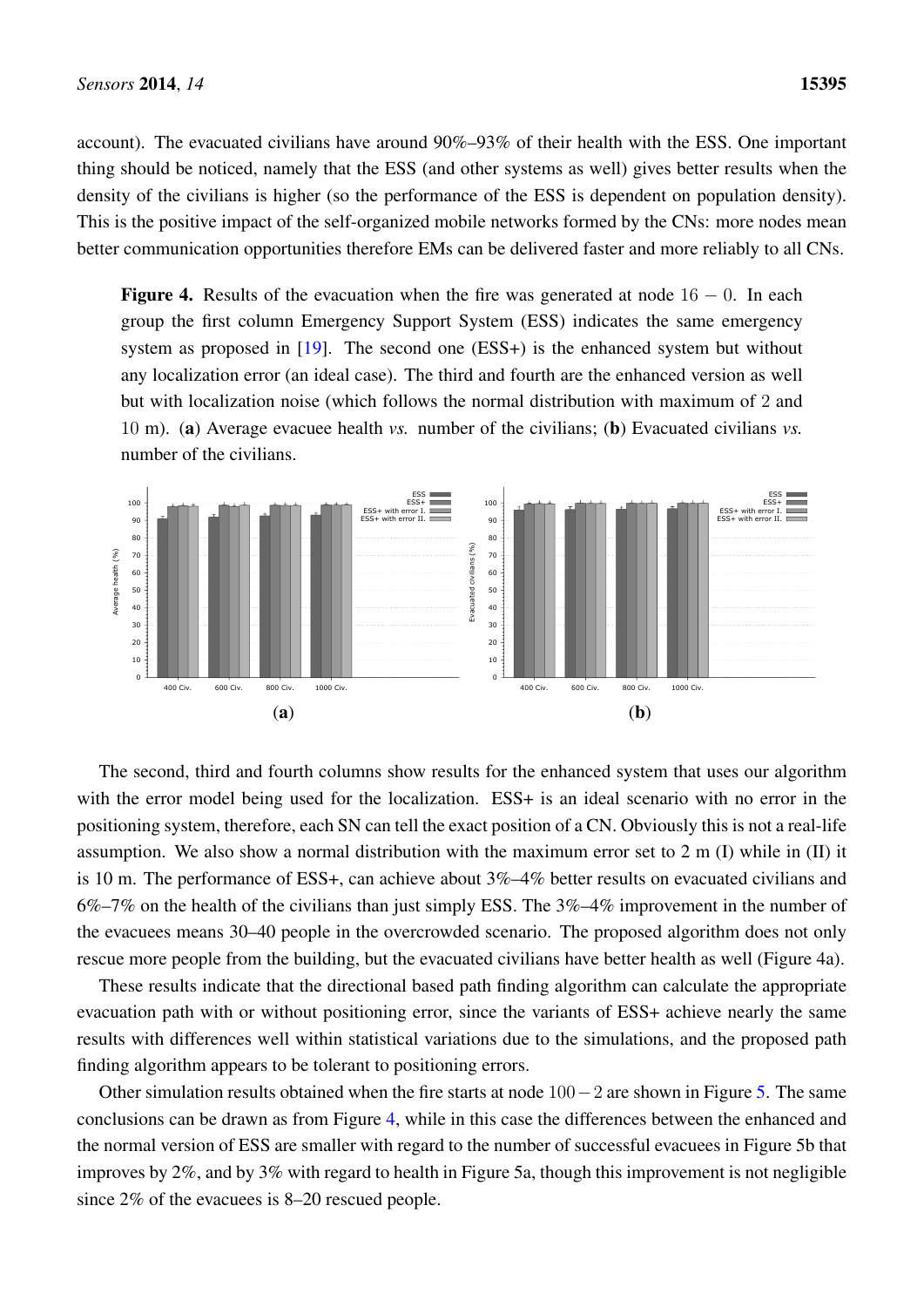account). The evacuated civilians have around 90%–93% of their health with the ESS. One important thing should be noticed, namely that the ESS (and other systems as well) gives better results when the density of the civilians is higher (so the performance of the ESS is dependent on population density). This is the positive impact of the self-organized mobile networks formed by the CNs: more nodes mean better communication opportunities therefore EMs can be delivered faster and more reliably to all CNs.

<span id="page-8-0"></span>Figure 4. Results of the evacuation when the fire was generated at node  $16 - 0$ . In each group the first column Emergency Support System (ESS) indicates the same emergency system as proposed in [\[19\]](#page-12-2). The second one (ESS+) is the enhanced system but without any localization error (an ideal case). The third and fourth are the enhanced version as well but with localization noise (which follows the normal distribution with maximum of 2 and 10 m). (a) Average evacuee health *vs.* number of the civilians; (b) Evacuated civilians *vs.* number of the civilians.



The second, third and fourth columns show results for the enhanced system that uses our algorithm with the error model being used for the localization. ESS+ is an ideal scenario with no error in the positioning system, therefore, each SN can tell the exact position of a CN. Obviously this is not a real-life assumption. We also show a normal distribution with the maximum error set to 2 m (I) while in (II) it is 10 m. The performance of ESS+, can achieve about 3%–4% better results on evacuated civilians and 6%–7% on the health of the civilians than just simply ESS. The 3%–4% improvement in the number of the evacuees means 30–40 people in the overcrowded scenario. The proposed algorithm does not only rescue more people from the building, but the evacuated civilians have better health as well (Figure 4a).

These results indicate that the directional based path finding algorithm can calculate the appropriate evacuation path with or without positioning error, since the variants of ESS+ achieve nearly the same results with differences well within statistical variations due to the simulations, and the proposed path finding algorithm appears to be tolerant to positioning errors.

Other simulation results obtained when the fire starts at node  $100-2$  are shown in Figure [5.](#page-9-0) The same conclusions can be drawn as from Figure [4,](#page-8-0) while in this case the differences between the enhanced and the normal version of ESS are smaller with regard to the number of successful evacuees in Figure 5b that improves by 2%, and by 3% with regard to health in Figure 5a, though this improvement is not negligible since 2% of the evacuees is 8–20 rescued people.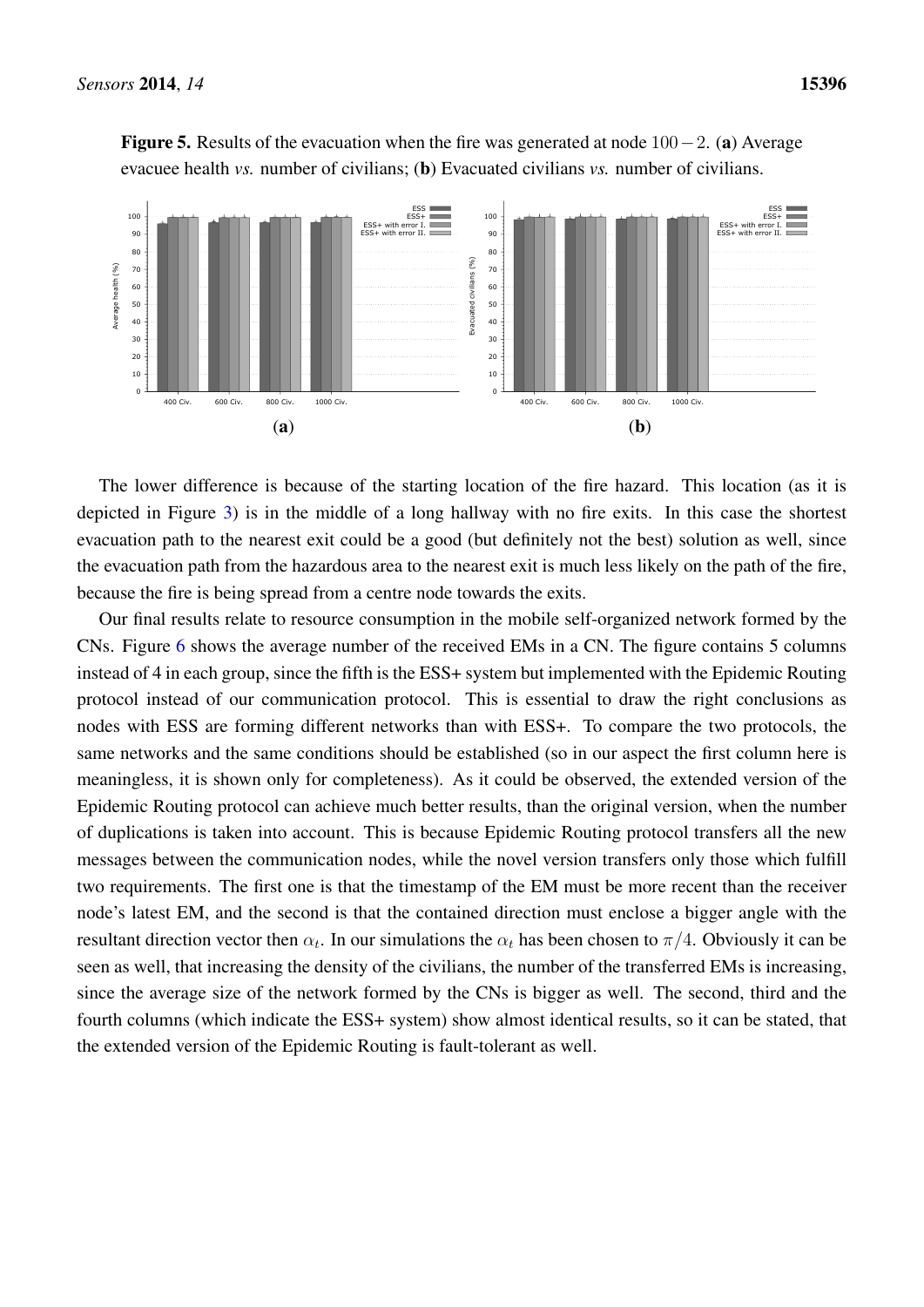

<span id="page-9-0"></span>Figure 5. Results of the evacuation when the fire was generated at node  $100-2$ . (a) Average evacuee health *vs.* number of civilians; (b) Evacuated civilians *vs.* number of civilians.

The lower difference is because of the starting location of the fire hazard. This location (as it is depicted in Figure [3\)](#page-6-0) is in the middle of a long hallway with no fire exits. In this case the shortest evacuation path to the nearest exit could be a good (but definitely not the best) solution as well, since the evacuation path from the hazardous area to the nearest exit is much less likely on the path of the fire, because the fire is being spread from a centre node towards the exits.

Our final results relate to resource consumption in the mobile self-organized network formed by the CNs. Figure [6](#page-10-0) shows the average number of the received EMs in a CN. The figure contains 5 columns instead of 4 in each group, since the fifth is the ESS+ system but implemented with the Epidemic Routing protocol instead of our communication protocol. This is essential to draw the right conclusions as nodes with ESS are forming different networks than with ESS+. To compare the two protocols, the same networks and the same conditions should be established (so in our aspect the first column here is meaningless, it is shown only for completeness). As it could be observed, the extended version of the Epidemic Routing protocol can achieve much better results, than the original version, when the number of duplications is taken into account. This is because Epidemic Routing protocol transfers all the new messages between the communication nodes, while the novel version transfers only those which fulfill two requirements. The first one is that the timestamp of the EM must be more recent than the receiver node's latest EM, and the second is that the contained direction must enclose a bigger angle with the resultant direction vector then  $\alpha_t$ . In our simulations the  $\alpha_t$  has been chosen to  $\pi/4$ . Obviously it can be seen as well, that increasing the density of the civilians, the number of the transferred EMs is increasing, since the average size of the network formed by the CNs is bigger as well. The second, third and the fourth columns (which indicate the ESS+ system) show almost identical results, so it can be stated, that the extended version of the Epidemic Routing is fault-tolerant as well.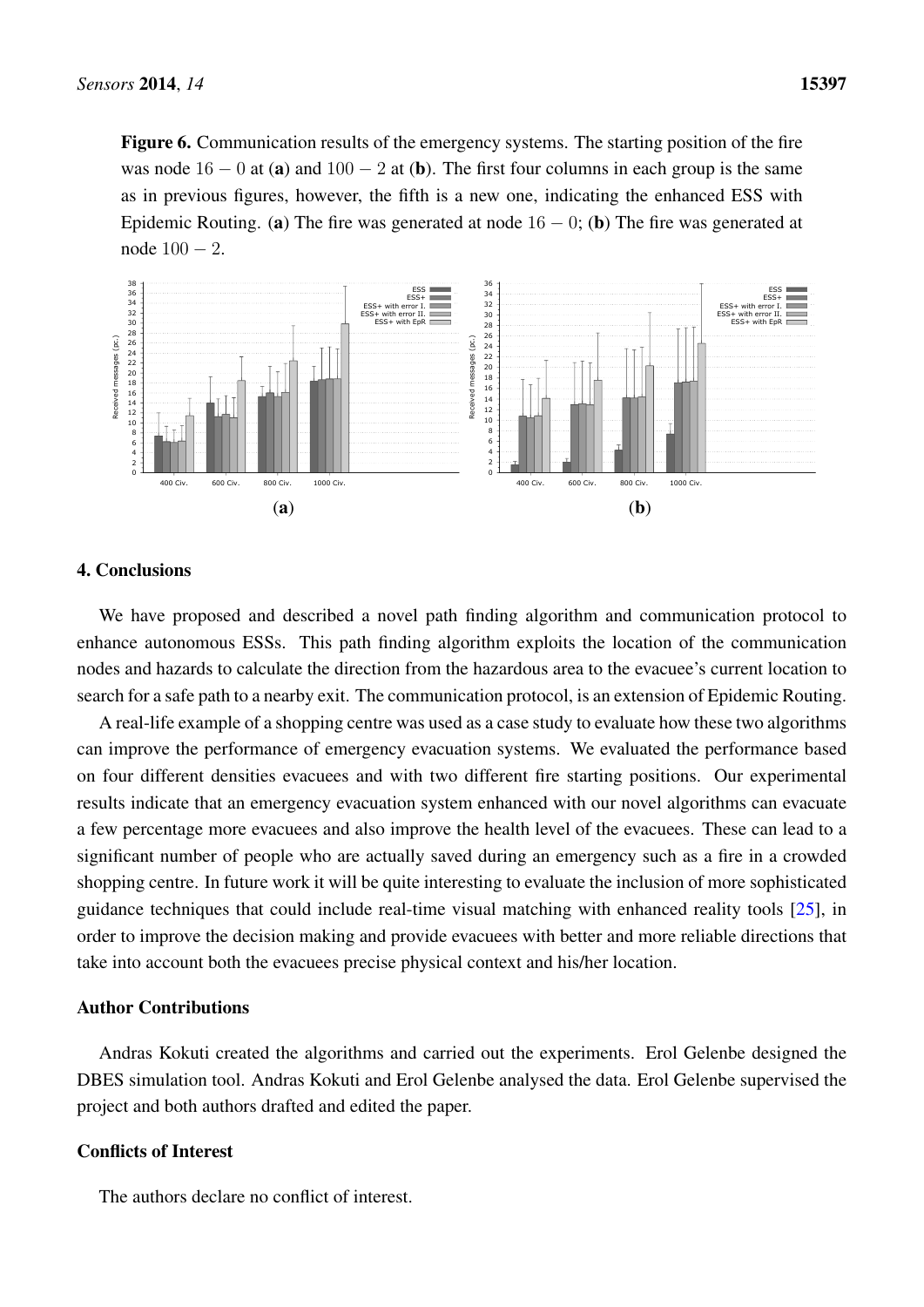<span id="page-10-0"></span>Figure 6. Communication results of the emergency systems. The starting position of the fire was node 16 − 0 at (a) and 100 − 2 at (b). The first four columns in each group is the same as in previous figures, however, the fifth is a new one, indicating the enhanced ESS with Epidemic Routing. (a) The fire was generated at node  $16 - 0$ ; (b) The fire was generated at node 100 − 2.



## 4. Conclusions

We have proposed and described a novel path finding algorithm and communication protocol to enhance autonomous ESSs. This path finding algorithm exploits the location of the communication nodes and hazards to calculate the direction from the hazardous area to the evacuee's current location to search for a safe path to a nearby exit. The communication protocol, is an extension of Epidemic Routing.

A real-life example of a shopping centre was used as a case study to evaluate how these two algorithms can improve the performance of emergency evacuation systems. We evaluated the performance based on four different densities evacuees and with two different fire starting positions. Our experimental results indicate that an emergency evacuation system enhanced with our novel algorithms can evacuate a few percentage more evacuees and also improve the health level of the evacuees. These can lead to a significant number of people who are actually saved during an emergency such as a fire in a crowded shopping centre. In future work it will be quite interesting to evaluate the inclusion of more sophisticated guidance techniques that could include real-time visual matching with enhanced reality tools [\[25\]](#page-12-8), in order to improve the decision making and provide evacuees with better and more reliable directions that take into account both the evacuees precise physical context and his/her location.

## Author Contributions

Andras Kokuti created the algorithms and carried out the experiments. Erol Gelenbe designed the DBES simulation tool. Andras Kokuti and Erol Gelenbe analysed the data. Erol Gelenbe supervised the project and both authors drafted and edited the paper.

## Conflicts of Interest

The authors declare no conflict of interest.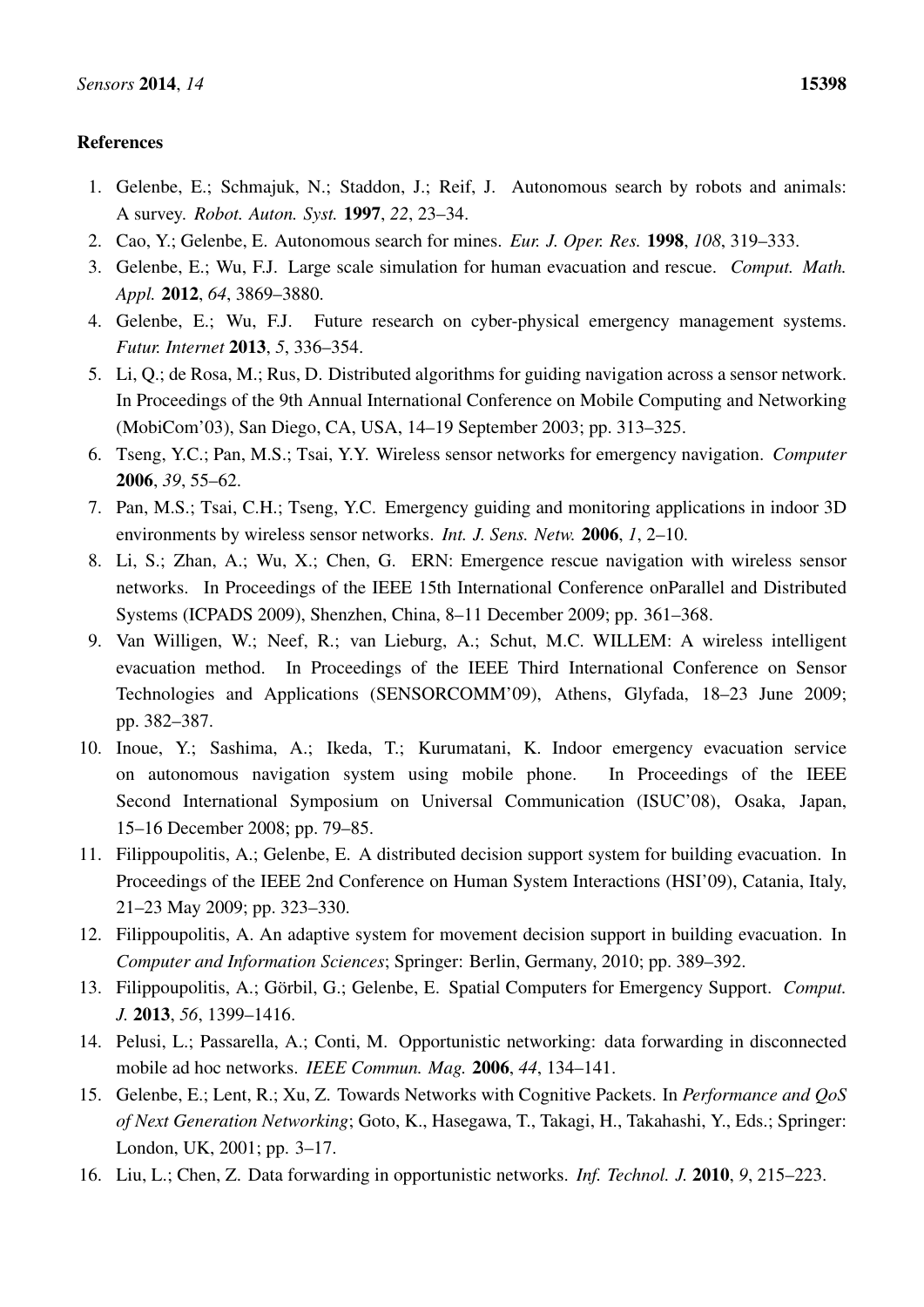# References

- <span id="page-11-0"></span>1. Gelenbe, E.; Schmajuk, N.; Staddon, J.; Reif, J. Autonomous search by robots and animals: A survey. *Robot. Auton. Syst.* 1997, *22*, 23–34.
- <span id="page-11-1"></span>2. Cao, Y.; Gelenbe, E. Autonomous search for mines. *Eur. J. Oper. Res.* 1998, *108*, 319–333.
- <span id="page-11-2"></span>3. Gelenbe, E.; Wu, F.J. Large scale simulation for human evacuation and rescue. *Comput. Math. Appl.* 2012, *64*, 3869–3880.
- <span id="page-11-3"></span>4. Gelenbe, E.; Wu, F.J. Future research on cyber-physical emergency management systems. *Futur. Internet* 2013, *5*, 336–354.
- <span id="page-11-4"></span>5. Li, Q.; de Rosa, M.; Rus, D. Distributed algorithms for guiding navigation across a sensor network. In Proceedings of the 9th Annual International Conference on Mobile Computing and Networking (MobiCom'03), San Diego, CA, USA, 14–19 September 2003; pp. 313–325.
- <span id="page-11-5"></span>6. Tseng, Y.C.; Pan, M.S.; Tsai, Y.Y. Wireless sensor networks for emergency navigation. *Computer* 2006, *39*, 55–62.
- <span id="page-11-6"></span>7. Pan, M.S.; Tsai, C.H.; Tseng, Y.C. Emergency guiding and monitoring applications in indoor 3D environments by wireless sensor networks. *Int. J. Sens. Netw.* 2006, *1*, 2–10.
- <span id="page-11-7"></span>8. Li, S.; Zhan, A.; Wu, X.; Chen, G. ERN: Emergence rescue navigation with wireless sensor networks. In Proceedings of the IEEE 15th International Conference onParallel and Distributed Systems (ICPADS 2009), Shenzhen, China, 8–11 December 2009; pp. 361–368.
- <span id="page-11-8"></span>9. Van Willigen, W.; Neef, R.; van Lieburg, A.; Schut, M.C. WILLEM: A wireless intelligent evacuation method. In Proceedings of the IEEE Third International Conference on Sensor Technologies and Applications (SENSORCOMM'09), Athens, Glyfada, 18–23 June 2009; pp. 382–387.
- <span id="page-11-9"></span>10. Inoue, Y.; Sashima, A.; Ikeda, T.; Kurumatani, K. Indoor emergency evacuation service on autonomous navigation system using mobile phone. In Proceedings of the IEEE Second International Symposium on Universal Communication (ISUC'08), Osaka, Japan, 15–16 December 2008; pp. 79–85.
- <span id="page-11-10"></span>11. Filippoupolitis, A.; Gelenbe, E. A distributed decision support system for building evacuation. In Proceedings of the IEEE 2nd Conference on Human System Interactions (HSI'09), Catania, Italy, 21–23 May 2009; pp. 323–330.
- <span id="page-11-11"></span>12. Filippoupolitis, A. An adaptive system for movement decision support in building evacuation. In *Computer and Information Sciences*; Springer: Berlin, Germany, 2010; pp. 389–392.
- <span id="page-11-12"></span>13. Filippoupolitis, A.; Görbil, G.; Gelenbe, E. Spatial Computers for Emergency Support. *Comput. J.* 2013, *56*, 1399–1416.
- <span id="page-11-13"></span>14. Pelusi, L.; Passarella, A.; Conti, M. Opportunistic networking: data forwarding in disconnected mobile ad hoc networks. *IEEE Commun. Mag.* 2006, *44*, 134–141.
- <span id="page-11-14"></span>15. Gelenbe, E.; Lent, R.; Xu, Z. Towards Networks with Cognitive Packets. In *Performance and QoS of Next Generation Networking*; Goto, K., Hasegawa, T., Takagi, H., Takahashi, Y., Eds.; Springer: London, UK, 2001; pp. 3–17.
- <span id="page-11-15"></span>16. Liu, L.; Chen, Z. Data forwarding in opportunistic networks. *Inf. Technol. J.* 2010, *9*, 215–223.